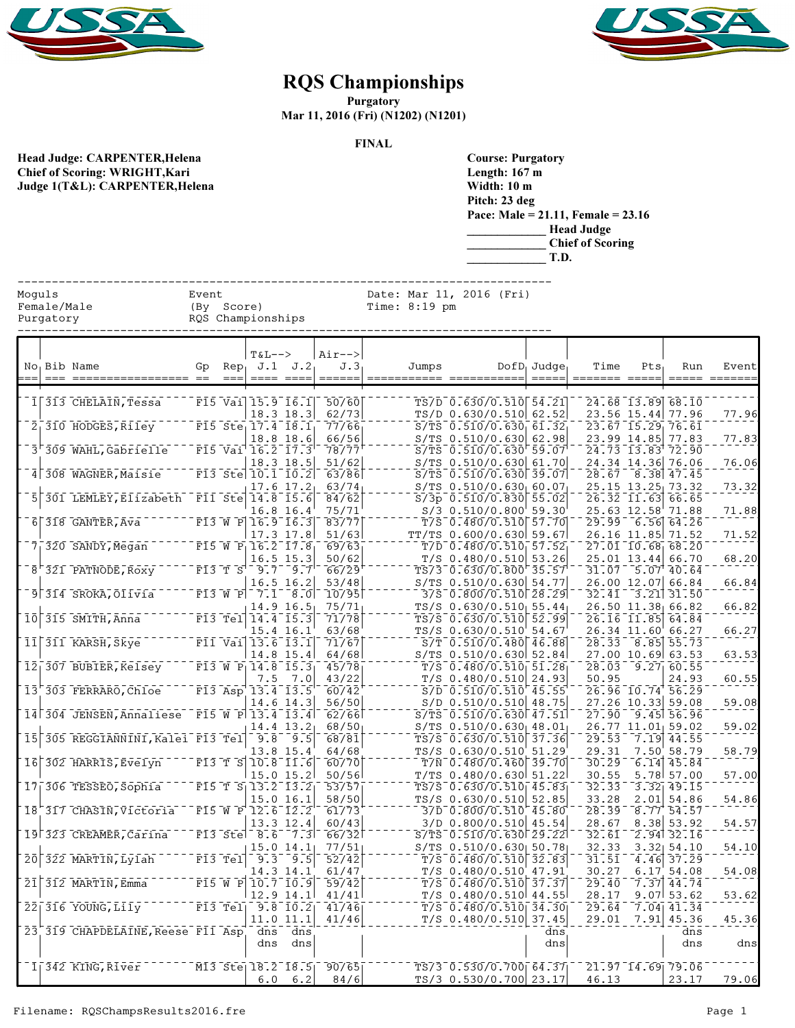



## RQS Championships

**Purgatory** 

Mar 11, 2016 (Fri) (N1202) (N1201)

FINAL

| Head Judge: CARPENTER, Helena         |
|---------------------------------------|
| <b>Chief of Scoring: WRIGHT, Kari</b> |
| Judge 1(T&L): CARPENTER, Helena       |

| <b>Course: Purgatory</b> |                                      |
|--------------------------|--------------------------------------|
| Length: $167$ m          |                                      |
| Width: 10 m              |                                      |
| Pitch: 23 deg            |                                      |
|                          | Pace: Male = 21.11, Female = $23.16$ |
|                          | <b>Head Judge</b>                    |
|                          | <b>Chief of Scoring</b>              |
|                          | T.D.                                 |

|                                    |  |                                               |                     |                  |                                                                                    |                            | <b>Chief of Scoring</b><br>T.D. |  |               |                                                              |                                   |                              |         |                                                          |       |
|------------------------------------|--|-----------------------------------------------|---------------------|------------------|------------------------------------------------------------------------------------|----------------------------|---------------------------------|--|---------------|--------------------------------------------------------------|-----------------------------------|------------------------------|---------|----------------------------------------------------------|-------|
| Moguls<br>Female/Male<br>Purgatory |  |                                               | Event<br>(By Score) |                  | RQS Championships                                                                  |                            |                                 |  | Time: 8:19 pm | Date: Mar 11, 2016 (Fri)                                     |                                   |                              |         |                                                          |       |
|                                    |  | No Bib Name                                   | Gp                  | Rep <sub>1</sub> | $T&L-->$                                                                           | $J.1$ $J.2$                | Air--><br>J.3<br>======         |  | Jumps         |                                                              | $DofD_1$ Judge<br>$=$ $=$ $=$ $=$ | Time                         | $Pts_1$ | Run                                                      | Event |
|                                    |  |                                               |                     |                  |                                                                                    |                            |                                 |  |               |                                                              |                                   |                              |         |                                                          |       |
|                                    |  | 1 313 CHELAIN, Tessa                          |                     |                  | $F15$ Vai $15.9$ $16.1$                                                            |                            | 50/60                           |  |               | $TS/D$ 0.630/0.510 54.21                                     |                                   |                              |         | 24.68 13.89 68.10                                        |       |
|                                    |  | $2_1 310$ HODGES, Riley                       |                     |                  | $F15$ Ste 17.4 18.1                                                                | 18.3 18.3                  | 62/73<br>77/66                  |  |               | TS/D 0.630/0.510 62.52<br>$S/TS$ 0.510/0.630 61.32           |                                   |                              |         | 23.56 15.44 77.96<br>23.67 15.29 76.61                   | 77.96 |
|                                    |  |                                               |                     |                  |                                                                                    | 18.8 18.6                  | 66/56                           |  |               | $S/TS$ 0.510/0.630 62.98                                     |                                   |                              |         | 23.99 14.85 77.83                                        | 77.83 |
|                                    |  | 3 309 WAHL, Gabrielle                         |                     |                  | F15 Vai 16.2 17.3                                                                  |                            | 78/77                           |  |               | $S/TS$ 0.510/0.630 59.07                                     |                                   |                              |         | 24.73 13.83 72.90                                        |       |
|                                    |  | 4 308 WAGNER, Maisie                          |                     |                  | F13 Ste 10.1 10.2                                                                  | 18.3 18.5                  | 51/62<br>63/86                  |  |               | S/TS $0.510/0.630 61.70 $<br>$S/TS$ 0.510/0.630 39.07        |                                   |                              |         | 24.34 14.36 76.06<br>28.67 8.38 47.45                    | 76.06 |
|                                    |  |                                               |                     |                  |                                                                                    | $17.6$ $17.2$              | 63/74                           |  |               | $S/TS$ 0.510/0.630 60.07                                     |                                   |                              |         | 25.15 13.25 73.32                                        | 73.32 |
|                                    |  | 301 LEMLEY, Elizabeth                         |                     |                  | $\overline{F11}$ Ste $\overline{14.8}$ $\overline{15.6}$                           |                            | 84/62                           |  |               | $S/3p$ 0.510/0.830 55.02                                     |                                   |                              |         | $\overline{26.32}$ $\overline{11.63}$ $\overline{66.65}$ |       |
|                                    |  | $6\overline{)318}$ GANTER, Ava                |                     |                  | $F13$ W P $16.9$ $16.3$                                                            | 16.8 16.4                  | 75/71<br>83/77                  |  |               | $S/3$ 0.510/0.800 59.30<br>$T/S$ 0.480/0.510 57.70           |                                   |                              |         | 25.63 12.58 71.88<br>$29.99 - 6.56$ 64.26                | 71.88 |
|                                    |  |                                               |                     |                  |                                                                                    | 17.3 17.8                  | 51/63                           |  |               | TT/TS 0.600/0.630 59.67                                      |                                   |                              |         | 26.16 11.85 71.52                                        | 71.52 |
|                                    |  | $7_1$ 320 SANDY, Megan                        |                     |                  | $F15$ W $P_116.217.8$                                                              |                            | 69/63                           |  |               | $T/D$ 0.480/0.510 57.52                                      |                                   |                              |         | $\overline{27.01}$ 10.68 68.20                           |       |
|                                    |  |                                               |                     |                  |                                                                                    | 16.5 15.3                  | 50/62                           |  |               | $T/S$ 0.480/0.510 53.26                                      |                                   |                              |         | 25.01 13.44 66.70                                        | 68.20 |
|                                    |  | $8 - 321$ PATNODE, Roxy                       |                     |                  | $F13 T S^{-1} S^{-1} 9.7$ $9.7$                                                    | $16.5$ 16.2                | 66/29<br>53/48                  |  |               | TS/3 0.630/0.800 35.57<br>S/TS 0.510/0.630 54.77             |                                   |                              |         | 31.07 5.07 40.64<br>26.00 12.07 66.84                    | 66.84 |
|                                    |  | 9 314 SROKA, Olivia                           |                     |                  | F13 W P 7.1                                                                        | $-8.0$                     | 10/95                           |  |               | $3/5$ 0.800/0.510 $28.29$                                    |                                   |                              |         | $32.41$ $3.21$ $31.50$                                   |       |
|                                    |  |                                               |                     |                  |                                                                                    | $14.9$ 16.5                | 75/71                           |  |               | $TS/S$ 0.630/0.510 55.44                                     |                                   |                              |         | 26.50 11.38 66.82                                        | 66.82 |
| 10 <sup>1</sup>                    |  | 315 SMITH, Anna                               |                     |                  | $F13$ Tel $14.4$ $15.3$                                                            | 15.4 16.1                  | 71/78<br>63/68                  |  |               | TS/S 0.630/0.510 52.99<br>TS/S 0.630/0.510 54.67             |                                   |                              |         | 26.16 11.85 64.84<br>26.34 11.60 66.27                   | 66.27 |
|                                    |  | $11$ $\sqrt{311}$ KARSH, Skye                 |                     |                  | $\overline{F11} \overline{V}$ ai 13.6 13.1                                         |                            | 71/67                           |  |               | $S/T$ 0.510/0.480 46.88                                      |                                   |                              |         | $28.33$ $8.85$ $55.73$                                   |       |
|                                    |  |                                               |                     |                  |                                                                                    | 14.8 15.4                  | 64/68                           |  |               | S/TS 0.510/0.630 52.84                                       |                                   |                              |         | 27.00 10.69 63.53                                        | 63.53 |
|                                    |  | $12_1 307$ BUBIER, Kelsey                     |                     |                  | $\overline{F13}$ W P <sub>1</sub> 14.8 15.3                                        |                            | 45/78                           |  |               | $T/S$ 0.480/0.510 51.28                                      |                                   |                              |         | $28.03 - 9.27$ 60.55                                     |       |
|                                    |  | 13 303 FERRARO, Chloe                         |                     |                  | 7.5<br>$F13$ Asp $13.4$ $13.5$                                                     | 7.0                        | 43/22<br>60/42                  |  |               | $T/S$ 0.480/0.510<br>$S/D$ 0.510/0.510 45.55                 | 24.93                             | 50.95                        |         | 24.93<br>26.96 10.74 56.29                               | 60.55 |
|                                    |  |                                               |                     |                  |                                                                                    | 14.6 14.3                  | 56/50                           |  |               | S/D 0.510/0.510 48.75                                        |                                   |                              |         | 27.26 10.33 59.08                                        | 59.08 |
|                                    |  | 14 304 JENSEN, Annaliese                      |                     |                  | $\overline{F15}$ $\overline{W}$ $\overline{P}$ $\overline{13.4}$ $\overline{13.4}$ |                            | 62/66                           |  |               | $S/TS$ 0.510/0.630 47.51                                     |                                   | 27.90                        |         | $9.45$ 56.96                                             |       |
|                                    |  | 305 REGGIANNINI, Kalei F13 Tel                |                     |                  |                                                                                    | $14.4$ $13.2$              | 68/50                           |  |               | $S/TS$ 0.510/0.630 48.01                                     |                                   |                              |         | 26.77 11.01 59.02                                        | 59.02 |
| 15                                 |  |                                               |                     |                  | 9.8                                                                                | 9.5<br>13.8 15.4           | 68/81<br>64/68                  |  |               | $TS/S$ 0.630/0.510<br>TS/S 0.630/0.510 51.29                 | 37.36                             | 29.53<br>29.31               |         | $7.19$ 44.55<br>7.50 58.79                               | 58.79 |
|                                    |  | 16 302 HARRIS, Evelyn                         |                     |                  | F13 T S 10.8 11.6                                                                  |                            | 60/70                           |  |               | $T/N$ 0.480/0.460 39.70                                      |                                   | 30.29                        |         | $6.14$ 45.84                                             |       |
|                                    |  |                                               |                     |                  |                                                                                    | $15.0$ $15.2$              | 50/56                           |  |               | $T/TS$ 0.480/0.630 51.22                                     |                                   | 30.55                        |         | 5.78 57.00                                               | 57.00 |
|                                    |  | $17 - 306$ TESSEO, Sophia                     |                     |                  | $F15$ T $S_1 13.2$ $13.2$                                                          | 15.0 16.1                  | 53/57<br>58/50                  |  |               | $TS/S$ 0.630/0.510 45.83<br>TS/S 0.630/0.510 52.85           |                                   | 32.33<br>33.28               |         | $\overline{3.32}$ $\overline{49.15}$<br>$2.01$ 54.86     | 54.86 |
|                                    |  | 18 317 CHASIN, Victoria                       |                     |                  | F15 W P 12.6 12.2                                                                  |                            | 61/73                           |  |               | 3/D 0.800/0.510 45.80                                        |                                   | 28.39                        |         | 8.77 54.57                                               |       |
|                                    |  |                                               |                     |                  |                                                                                    | 13.3 12.4                  | 60/43                           |  |               | 3/D 0.800/0.510 45.54                                        |                                   | 28.67                        |         | 8.38 53.92                                               | 54.57 |
|                                    |  | 19 323 CREAMER, Carina                        |                     |                  | F13 Stel 8.6 7.3                                                                   |                            | 66/32                           |  |               | $S/TS$ 0.510/0.630 29.22                                     |                                   | 32.61                        |         | $2.94$ 32.16                                             |       |
| 20 <sup>1</sup>                    |  | 322 MARTIN, Lylah                             |                     | $F13$ Tel        |                                                                                    | $15.0$ 14.1<br>$9.3$ $9.5$ | 77/51<br>52/42                  |  |               | S/TS 0.510/0.630 50.78<br>$T/S$ 0.480/0.510 32.83            |                                   | 32.33<br>31.51               |         | $3.32$ $54.10$<br>$\sqrt{4.46}$ 37.29                    | 54.10 |
|                                    |  |                                               |                     |                  | 14.3 14.1                                                                          |                            | 61/47                           |  |               | $T/S$ 0.480/0.510 47.91                                      |                                   | 30.27                        |         | 6.17 54.08                                               | 54.08 |
| 21                                 |  | 312 MARTIN, Emma                              |                     |                  | F15 W P 10.7 10.9                                                                  |                            | 59/42                           |  |               | $T/S$ 0.480/0.510 37.37                                      |                                   | 29.40                        |         | $7.37$ 44.74                                             |       |
|                                    |  | $22 \overline{\phantom{0}}\, 316$ YOUNG, Lily |                     |                  | $F13$ Tel <sub>l</sub> 9.8 $10.2$                                                  | $12.9$ $14.1$              | 41/41<br>41/46                  |  |               | $T/S$ 0.480/0.510 44.55<br>$T\overline{S}$ 0.480/0.510 34.30 |                                   | 28.17<br>$\bar{29}.\bar{64}$ |         | $9.07$ 53.62<br>$7.04$ $41.34$                           | 53.62 |
|                                    |  |                                               |                     |                  | 11.0 11.1                                                                          |                            | 41/46                           |  |               | $T/S$ 0.480/0.510 37.45                                      |                                   | 29.01                        |         | 7.91 45.36                                               | 45.36 |
|                                    |  | 23 319 CHAPDELAINE, Reese F11 Asp             |                     |                  | dns                                                                                | dns                        |                                 |  |               |                                                              | dns                               |                              |         | dns                                                      |       |
|                                    |  |                                               |                     |                  | dns                                                                                | dns                        |                                 |  |               |                                                              | dns                               |                              |         | dns                                                      | dns   |
|                                    |  | 1  342 KING, River                            |                     |                  |                                                                                    |                            | M13 Stel 18.2 18.5 90/65        |  |               | $TS/3$ 0.530/0.700 64.37                                     |                                   |                              |         | 21.97 14.69 79.06                                        |       |

6.0 6.2 84/6 TS/3 0.530/0.700 23.17 46.13 23.17 79.06